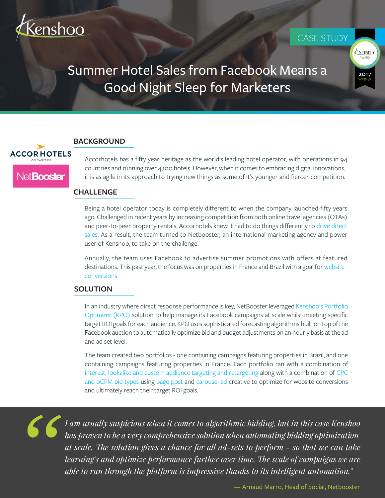

## CASE STUDY



# Summer Hotel Sales from Facebook Means a Good Night Sleep for Marketers

#### **BACKGROUND**



Accorhotels has a fifty year heritage as the world's leading hotel operator, with operations in 94 countries and running over 4,100 hotels. However, when it comes to embracing digital innovations, it is as agile in its approach to trying new things as some of it's younger and fiercer competition.

#### **CHALLENGE**

Being a hotel operator today is completely different to when the company launched fifty years ago. Challenged in recent years by increasing competition from both online travel agencies (OTAs) and peer-to-peer property rentals, Accorhotels knew it had to do things differently to drive direct sales. As a result, the team turned to Netbooster, an international marketing agency and power user of Kenshoo, to take on the challenge.

Annually, the team uses Facebook to advertise summer promotions with offers at featured destinations. This past year, the focus was on properties in France and Brazil with a goal for website conversions.

### **SOLUTION**

In an industry where direct response performance is key, NetBooster leveraged Kenshoo's Portfolio Optimizer (KPO) solution to help manage its Facebook campaigns at scale whilst meeting specific target ROI goals for each audience. KPO uses sophisticated forecasting algorithms built on top of the Facebook auction to automatically optimize bid and budget adjustments on an hourly basis at the ad and ad set level.

The team created two portfolios - one containing campaigns featuring properties in Brazil, and one containing campaigns featuring properties in France. Each portfolio ran with a combination of interest, lookalike and custom audience targeting and retargeting along with a combination of CPC and oCPM bid types using page post and carousel ad creative to optimize for website conversions and ultimately reach their target ROI goals.

*"*

*I am usually suspicious when it comes to algorithmic bidding, but in this case Kenshoo has proven to be a very comprehensive solution when automating bidding optimization*  at scale. The solution gives a chance for all ad-sets to perform - so that we can take *learning's and optimize performance further over time. The scale of campaigns we are able to run through the platform is impressive thanks to its intelligent automation."*